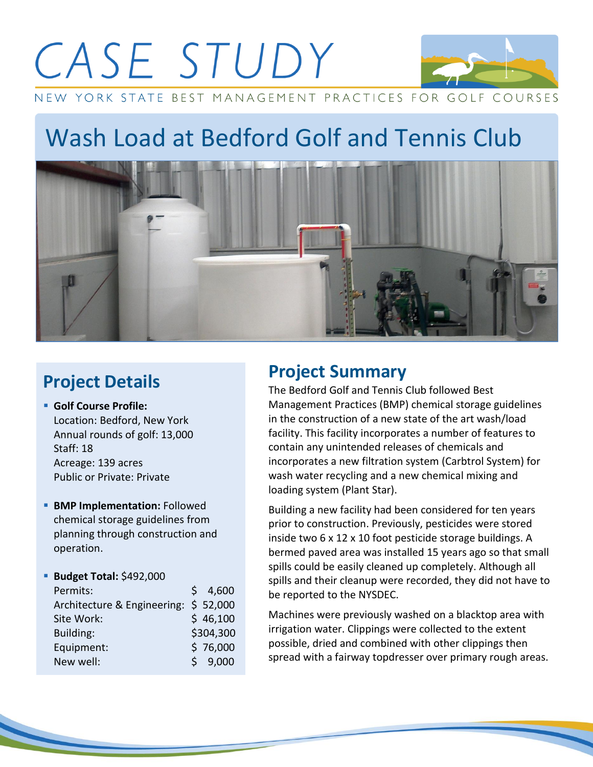## CASE STUDY



NEW YORK STATE BEST MANAGEMENT PRACTICES FOR GOLF COURSES

### Wash Load at Bedford Golf and Tennis Club



### **Project Details**

- **Golf Course Profile:** Location: Bedford, New York Annual rounds of golf: 13,000 Staff: 18 Acreage: 139 acres Public or Private: Private
- **BMP Implementation: Followed** chemical storage guidelines from planning through construction and operation.

| S. | 4,600                                 |
|----|---------------------------------------|
|    | Architecture & Engineering: \$ 52,000 |
|    | \$46,100                              |
|    | \$304,300                             |
|    | \$76,000                              |
|    | \$9,000                               |
|    |                                       |

#### **Project Summary**

The Bedford Golf and Tennis Club followed Best Management Practices (BMP) chemical storage guidelines in the construction of a new state of the art wash/load facility. This facility incorporates a number of features to contain any unintended releases of chemicals and incorporates a new filtration system (Carbtrol System) for wash water recycling and a new chemical mixing and loading system (Plant Star).

Building a new facility had been considered for ten years prior to construction. Previously, pesticides were stored inside two 6 x 12 x 10 foot pesticide storage buildings. A bermed paved area was installed 15 years ago so that small spills could be easily cleaned up completely. Although all spills and their cleanup were recorded, they did not have to be reported to the NYSDEC.

Machines were previously washed on a blacktop area with irrigation water. Clippings were collected to the extent possible, dried and combined with other clippings then spread with a fairway topdresser over primary rough areas.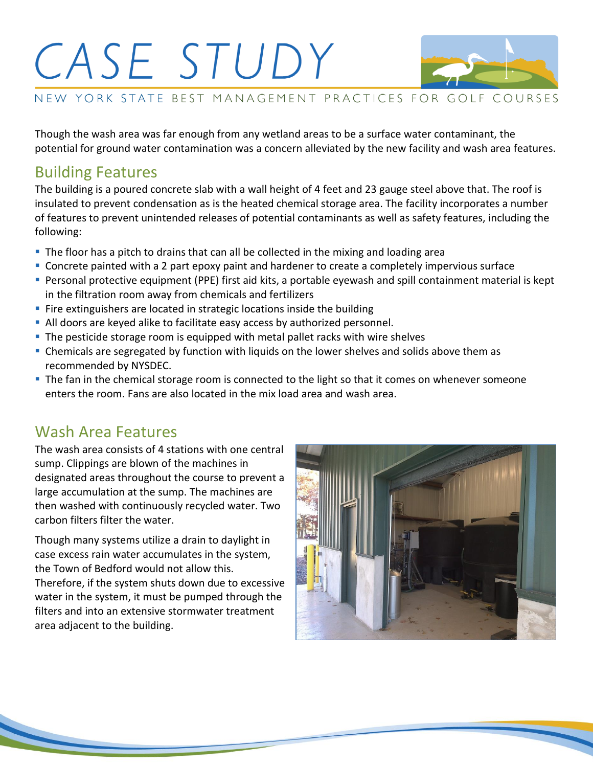# CASE STUDY



NEW YORK STATE BEST MANAGEMENT PRACTICES FOR GOLF COURSES

Though the wash area was far enough from any wetland areas to be a surface water contaminant, the potential for ground water contamination was a concern alleviated by the new facility and wash area features.

#### Building Features

The building is a poured concrete slab with a wall height of 4 feet and 23 gauge steel above that. The roof is insulated to prevent condensation as is the heated chemical storage area. The facility incorporates a number of features to prevent unintended releases of potential contaminants as well as safety features, including the following:

- The floor has a pitch to drains that can all be collected in the mixing and loading area
- Concrete painted with a 2 part epoxy paint and hardener to create a completely impervious surface
- Personal protective equipment (PPE) first aid kits, a portable eyewash and spill containment material is kept in the filtration room away from chemicals and fertilizers
- **Fire extinguishers are located in strategic locations inside the building**
- All doors are keyed alike to facilitate easy access by authorized personnel.
- **The pesticide storage room is equipped with metal pallet racks with wire shelves**
- Chemicals are segregated by function with liquids on the lower shelves and solids above them as recommended by NYSDEC.
- **The fan in the chemical storage room is connected to the light so that it comes on whenever someone** enters the room. Fans are also located in the mix load area and wash area.

#### Wash Area Features

The wash area consists of 4 stations with one central sump. Clippings are blown of the machines in designated areas throughout the course to prevent a large accumulation at the sump. The machines are then washed with continuously recycled water. Two carbon filters filter the water.

Though many systems utilize a drain to daylight in case excess rain water accumulates in the system, the Town of Bedford would not allow this. Therefore, if the system shuts down due to excessive water in the system, it must be pumped through the filters and into an extensive stormwater treatment area adjacent to the building.